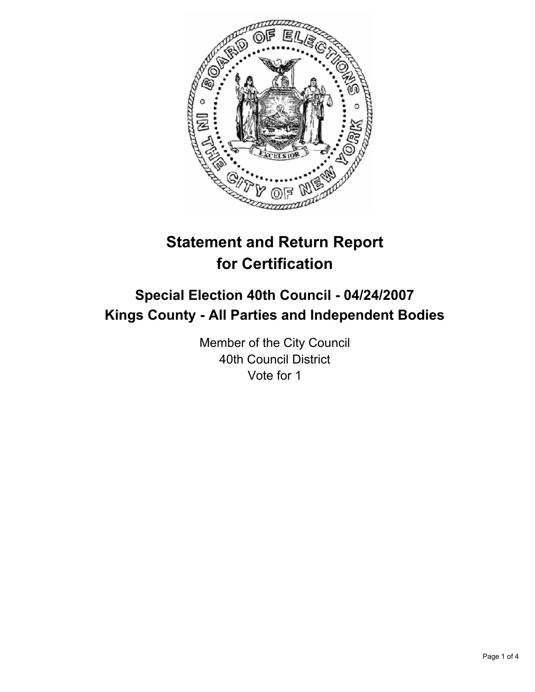

# **Statement and Return Report for Certification**

# **Special Election 40th Council - 04/24/2007 Kings County - All Parties and Independent Bodies**

Member of the City Council 40th Council District Vote for 1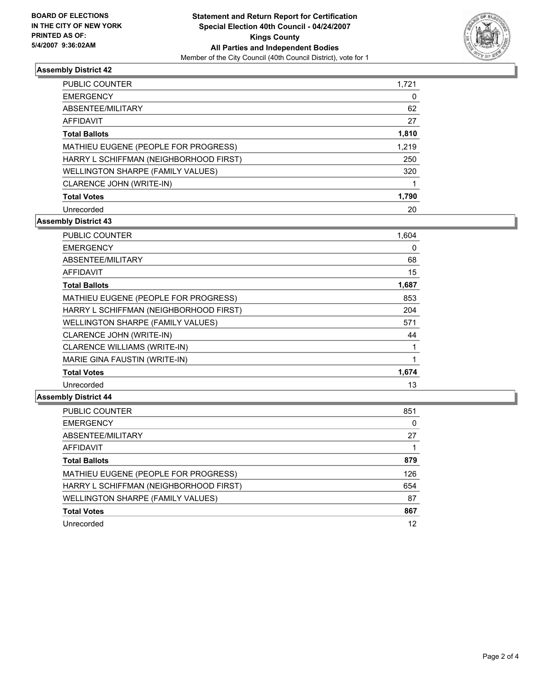

# **Assembly District 42**

| PUBLIC COUNTER                         | 1,721 |
|----------------------------------------|-------|
| <b>EMERGENCY</b>                       | 0     |
| ABSENTEE/MILITARY                      | 62    |
| AFFIDAVIT                              | 27    |
| <b>Total Ballots</b>                   | 1,810 |
| MATHIEU EUGENE (PEOPLE FOR PROGRESS)   | 1,219 |
| HARRY L SCHIFFMAN (NEIGHBORHOOD FIRST) | 250   |
| WELLINGTON SHARPE (FAMILY VALUES)      | 320   |
| CLARENCE JOHN (WRITE-IN)               |       |
| <b>Total Votes</b>                     | 1,790 |
| Unrecorded                             | 20    |

# **Assembly District 43**

| <b>PUBLIC COUNTER</b>                  | 1,604 |
|----------------------------------------|-------|
| <b>EMERGENCY</b>                       | 0     |
| ABSENTEE/MILITARY                      | 68    |
| <b>AFFIDAVIT</b>                       | 15    |
| <b>Total Ballots</b>                   | 1,687 |
| MATHIEU EUGENE (PEOPLE FOR PROGRESS)   | 853   |
| HARRY L SCHIFFMAN (NEIGHBORHOOD FIRST) | 204   |
| WELLINGTON SHARPE (FAMILY VALUES)      | 571   |
| CLARENCE JOHN (WRITE-IN)               | 44    |
| CLARENCE WILLIAMS (WRITE-IN)           |       |
| MARIE GINA FAUSTIN (WRITE-IN)          |       |
| <b>Total Votes</b>                     | 1,674 |
| Unrecorded                             | 13    |

### **Assembly District 44**

| PUBLIC COUNTER                         | 851 |
|----------------------------------------|-----|
| <b>EMERGENCY</b>                       |     |
| ABSENTEE/MILITARY                      | 27  |
| AFFIDAVIT                              |     |
| <b>Total Ballots</b>                   | 879 |
| MATHIEU EUGENE (PEOPLE FOR PROGRESS)   | 126 |
| HARRY L SCHIFFMAN (NEIGHBORHOOD FIRST) | 654 |
| WELLINGTON SHARPE (FAMILY VALUES)      | 87  |
| <b>Total Votes</b>                     | 867 |
| Unrecorded                             | 12  |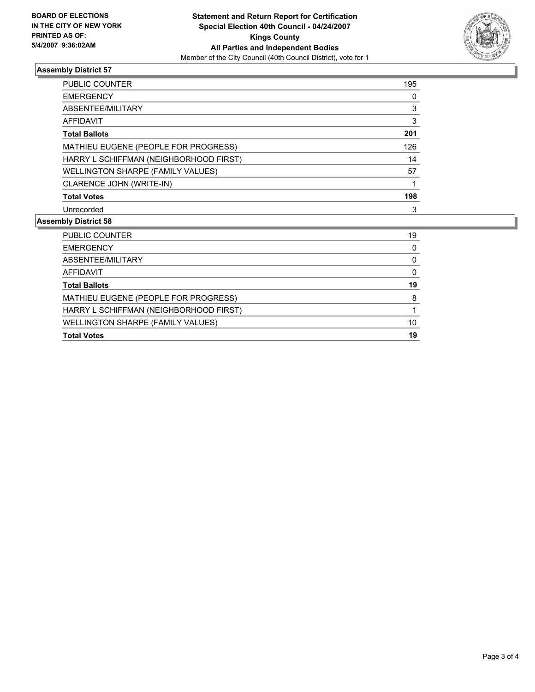

# **Assembly District 57**

| PUBLIC COUNTER                         | 195 |
|----------------------------------------|-----|
| <b>EMERGENCY</b>                       |     |
| ABSENTEE/MILITARY                      |     |
| AFFIDAVIT                              | 3   |
| <b>Total Ballots</b>                   | 201 |
| MATHIEU EUGENE (PEOPLE FOR PROGRESS)   | 126 |
| HARRY L SCHIFFMAN (NEIGHBORHOOD FIRST) | 14  |
| WELLINGTON SHARPE (FAMILY VALUES)      | 57  |
| CLARENCE JOHN (WRITE-IN)               |     |
| <b>Total Votes</b>                     | 198 |
| Unrecorded                             | 3   |

# **Assembly District 58**

| <b>Total Votes</b>                     | 19 |
|----------------------------------------|----|
| WELLINGTON SHARPE (FAMILY VALUES)      | 10 |
| HARRY L SCHIFFMAN (NEIGHBORHOOD FIRST) |    |
| MATHIEU EUGENE (PEOPLE FOR PROGRESS)   |    |
| <b>Total Ballots</b>                   | 19 |
| AFFIDAVIT                              |    |
| ABSENTEE/MILITARY                      |    |
| <b>EMERGENCY</b>                       |    |
| PUBLIC COUNTER                         | 19 |